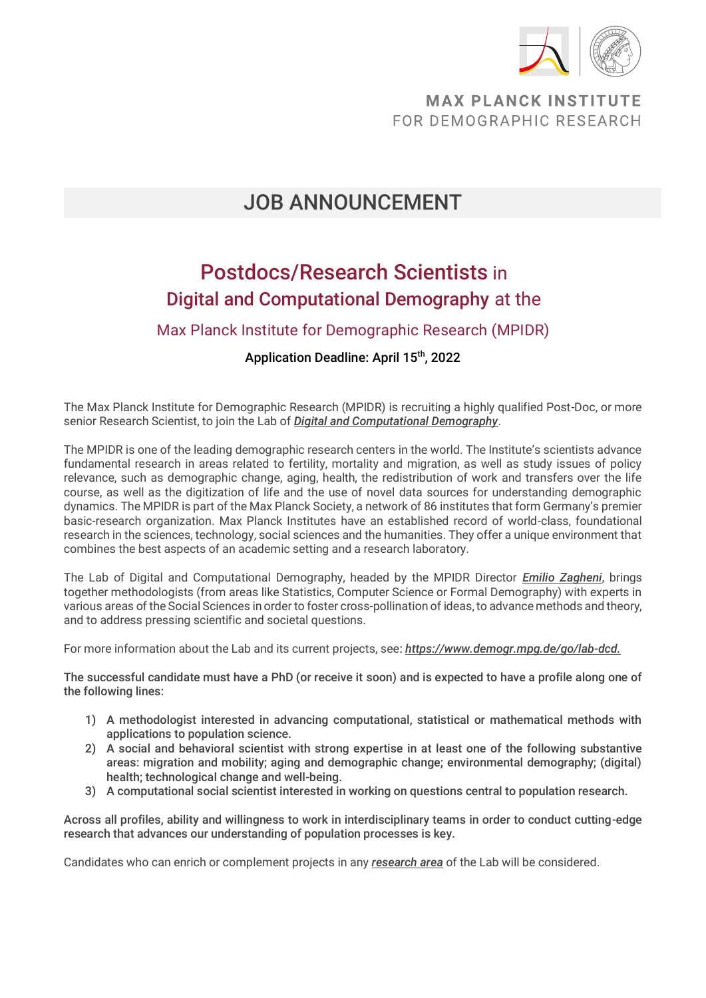

### **MAX PLANCK INSTITUTE** FOR DEMOGRAPHIC RESEARCH

# JOB ANNOUNCEMENT

# Postdocs/Research Scientists in Digital and Computational Demography at the

#### Max Planck Institute for Demographic Research (MPIDR)

#### Application Deadline: April 15<sup>th</sup>, 2022

The Max Planck Institute for Demographic Research (MPIDR) is recruiting a highly qualified Post-Doc, or more senior Research Scientist, to join the Lab of *[Digital and Computational Demography](https://www.demogr.mpg.de/go/lab-dcd)*.

The MPIDR is one of the leading demographic research centers in the world. The Institute's scientists advance fundamental research in areas related to fertility, mortality and migration, as well as study issues of policy relevance, such as demographic change, aging, health, the redistribution of work and transfers over the life course, as well as the digitization of life and the use of novel data sources for understanding demographic dynamics. The MPIDR is part of the Max Planck Society, a network of 86 institutes that form Germany's premier basic-research organization. Max Planck Institutes have an established record of world-class, foundational research in the sciences, technology, social sciences and the humanities. They offer a unique environment that combines the best aspects of an academic setting and a research laboratory.

The Lab of Digital and Computational Demography, headed by the MPIDR Director *[Emilio Zagheni](https://www.demogr.mpg.de/en/about_us_6113/staff_directory_1899/emilio_zagheni_2243)*, brings together methodologists (from areas like Statistics, Computer Science or Formal Demography) with experts in various areas of the Social Sciences in order to foster cross-pollination of ideas, to advance methods and theory, and to address pressing scientific and societal questions.

For more information about the Lab and its current projects, see: *[https://www.demogr.mpg.de/go/lab-dcd.](https://www.demogr.mpg.de/go/lab-dcd)*

The successful candidate must have a PhD (or receive it soon) and is expected to have a profile along one of the following lines:

- 1) A methodologist interested in advancing computational, statistical or mathematical methods with applications to population science.
- 2) A social and behavioral scientist with strong expertise in at least one of the following substantive areas: migration and mobility; aging and demographic change; environmental demography; (digital) health; technological change and well-being.
- 3) A computational social scientist interested in working on questions central to population research.

Across all profiles, ability and willingness to work in interdisciplinary teams in order to conduct cutting-edge research that advances our understanding of population processes is key.

Candidates who can enrich or complement projects in any *[research area](https://www.demogr.mpg.de/en/research_6120/digital_and_computational_demography_5555/projects/)* of the Lab will be considered.